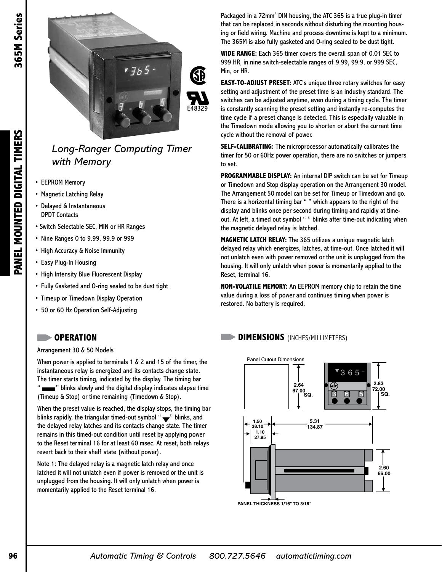PANEL MOUNTED DIGITAL TIMERS



## *Long-Ranger Computing Timer with Memory*

- **EEPROM Memory**
- Magnetic Latching Relay
- Delayed & Instantaneous DPDT Contacts
- Switch Selectable SEC, MIN or HR Ranges
- Nine Ranges 0 to 9.99, 99.9 or 999
- High Accuracy & Noise Immunity
- Easy Plug-In Housing
- High Intensity Blue Fluorescent Display
- Fully Gasketed and O-ring sealed to be dust tight

**38.10**

- Timeup or Timedown Display Operation
- 50 or 60 Hz Operation Self-Adjusting

## $\Box$

Arrangement 30 & 50 Models **1.10 27.95**

When power is applied to terminals 1 & 2 and 15 of the timer, the instantaneous relay is energized and its contacts change state. The timer starts timing, indicated by the display. The timing bar " **will be a**" blinks slowly and the digital display indicates elapse time Timeup & Stop) or time remaining (Timedown & Stop). **72.00**

When the preset value is reached, the display stops, the timing bar blinks rapidly, the triangular timed-out symbol "  $\blacktriangledown$  " blinks, and the delayed relay latches and its contacts change state. The timer remains in this timed-out condition until reset by applying power to the Reset terminal 16 for at least 60 msec. At reset, both relays revert back to their shelf state (without power).

Note 1: The delayed relay is a magnetic latch relay and once 3 6 5 latched it will not unlatch even if power is removed or the unit is unplugged from the housing. It will only unlatch when power is 3 6 5 momentarily applied to the Reset terminal 16.

Packaged in a 72mm<sup>2</sup> DIN housing, the ATC 365 is a true plug-in timer that can be replaced in seconds without disturbing the mounting housing or field wiring. Machine and process downtime is kept to a minimum. The 365M is also fully gasketed and O-ring sealed to be dust tight.

**WIDE RANGE:** Each 365 timer covers the overall span of 0.01 SEC to 999 HR, in nine switch-selectable ranges of 9.99, 99.9, or 999 SEC, Min, or HR.

**EASY-TO-ADJUST PRESET:** ATC's unique three rotary switches for easy setting and adjustment of the preset time is an industry standard. The switches can be adjusted anytime, even during a timing cycle. The timer is constantly scanning the preset setting and instantly re-computes the time cycle if a preset change is detected. This is especially valuable in the Timedown mode allowing you to shorten or abort the current time cycle without the removal of power.

**SELF-CALIBRATING:** The microprocessor automatically calibrates the timer for 50 or 60Hz power operation, there are no switches or jumpers to set.

**PROGRAMMABLE DISPLAY:** An internal DIP switch can be set for Timeup or Timedown and Stop display operation on the Arrangement 30 model. The Arrangement 50 model can be set for Timeup or Timedown and go. There is a horizontal timing bar "" which appears to the right of the display and blinks once per second during timing and rapidly at timeout. At left, a timed out symbol " " blinks after time-out indicating when the magnetic delayed relay is latched.

**MAGNETIC LATCH RELAY:** The 365 utilizes a unique magnetic latch delayed relay which energizes, latches, at time-out. Once latched it will not unlatch even with power removed or the unit is unplugged from the housing. It will only unlatch when power is momentarily applied to the Reset, terminal 16.

**NON-VOLATILE MEMORY:** An EEPROM memory chip to retain the time value during a loss of power and continues timing when power is restored. No battery is required.

## **OPERATION DIMENSIONS** (INCHES/MILLIMETERS)



**PANEL THICKNESS 1/16" TO 3/16"**